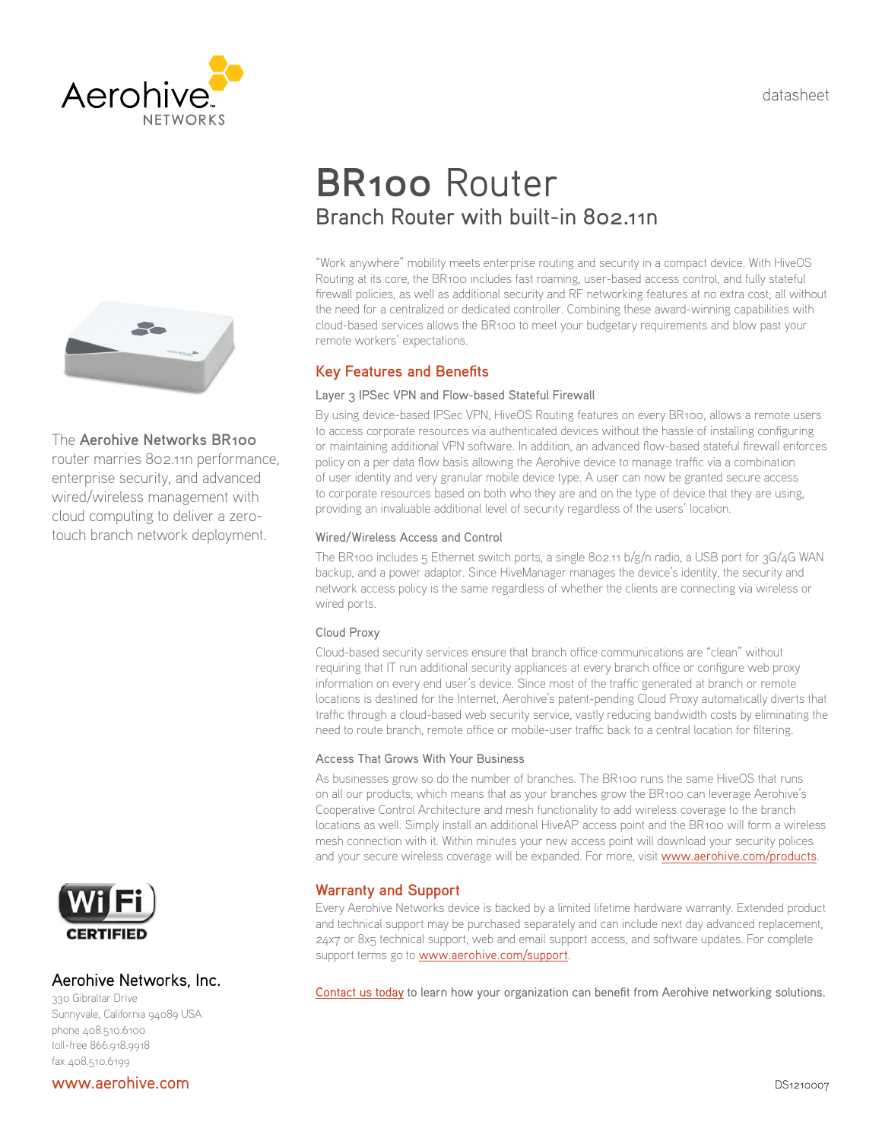datasheet





## The **Aerohive Networks BR100**

router marries 802.11n performance, enterprise security, and advanced wired/wireless management with cloud computing to deliver a zerotouch branch network deployment.



## Aerohive Networks, Inc.

330 Gibraltar Drive Sunnyvale, California 94089 USA phone 408.510.6100 toll-free 866.918.9918 fax 408.510.6199

# **BR100** Router Branch Router with built-in 802.11n

"Work anywhere" mobility meets enterprise routing and security in a compact device. With HiveOS Routing at its core, the BR100 includes fast roaming, user-based access control, and fully stateful firewall policies, as well as additional security and RF networking features at no extra cost; all without the need for a centralized or dedicated controller. Combining these award-winning capabilities with cloud-based services allows the BR100 to meet your budgetary requirements and blow past your remote workers' expectations.

## **Key Features and Benefits**

## Layer 3 IPSec VPN and Flow-based Stateful Firewall

By using device-based IPSec VPN, HiveOS Routing features on every BR100, allows a remote users to access corporate resources via authenticated devices without the hassle of installing configuring or maintaining additional VPN software. In addition, an advanced flow-based stateful firewall enforces policy on a per data flow basis allowing the Aerohive device to manage traffic via a combination of user identity and very granular mobile device type. A user can now be granted secure access to corporate resources based on both who they are and on the type of device that they are using, providing an invaluable additional level of security regardless of the users' location.

## Wired/Wireless Access and Control

The BR100 includes  $5$  Ethernet switch ports, a single 802.11 b/g/n radio, a USB port for  $3G/4G$  WAN backup, and a power adaptor. Since HiveManager manages the device's identity, the security and network access policy is the same regardless of whether the clients are connecting via wireless or wired ports.

## Cloud Proxy

Cloud-based security services ensure that branch office communications are "clean" without requiring that IT run additional security appliances at every branch office or configure web proxy information on every end user's device. Since most of the traffic generated at branch or remote locations is destined for the Internet, Aerohive's patent-pending Cloud Proxy automatically diverts that traffic through a cloud-based web security service, vastly reducing bandwidth costs by eliminating the need to route branch, remote office or mobile-user traffic back to a central location for filtering.

## Access That Grows With Your Business

As businesses grow so do the number of branches. The BR100 runs the same HiveOS that runs on all our products, which means that as your branches grow the BR100 can leverage Aerohive's Cooperative Control Architecture and mesh functionality to add wireless coverage to the branch locations as well. Simply install an additional HiveAP access point and the BR100 will form a wireless mesh connection with it. Within minutes your new access point will download your security polices and your secure wireless coverage will be expanded. For more, visit <www.aerohive.com/products>.

## **Warranty and Support**

Every Aerohive Networks device is backed by a limited lifetime hardware warranty. Extended product and technical support may be purchased separately and can include next day advanced replacement, 24x7 or 8x5 technical support, web and email support access, and software updates. For complete support terms go to [www.aerohive.com/support](http://www.aerohive.com/support/).

[Contact us today](http://www.aerohive.com/company/contact) to learn how your organization can benefit from Aerohive networking solutions.